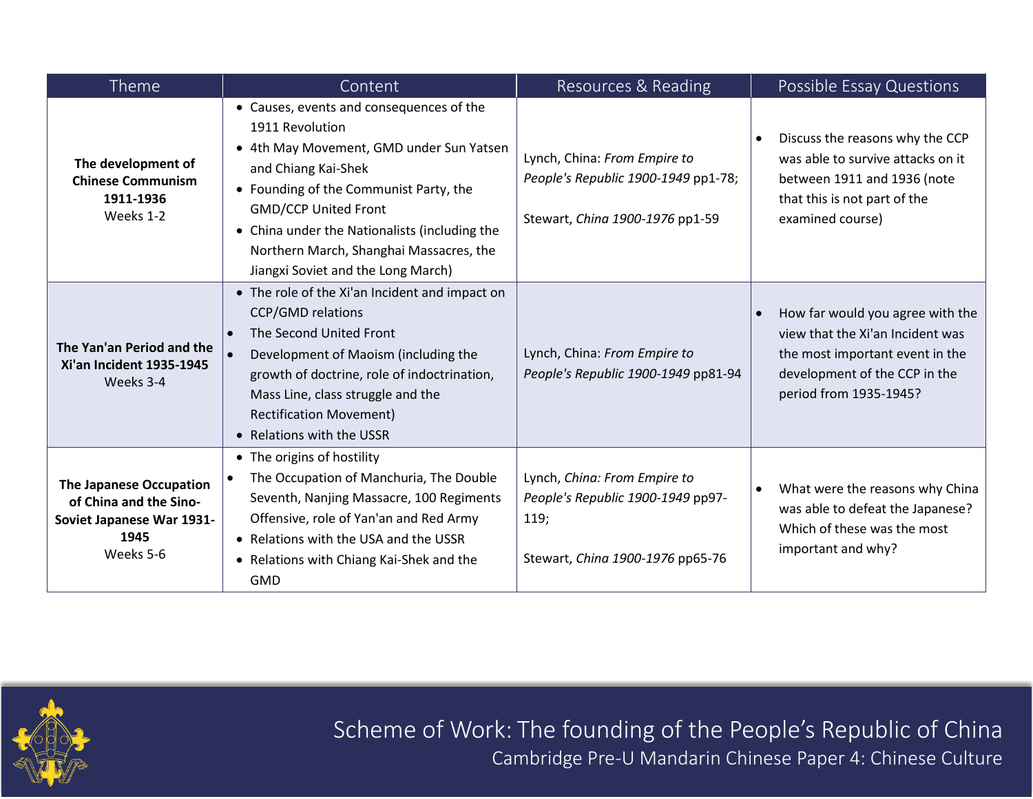| Theme                                                                                                      | Content                                                                                                                                                                                                                                                                                                                                   | Resources & Reading                                                                                           | Possible Essay Questions                                                                                                                                           |
|------------------------------------------------------------------------------------------------------------|-------------------------------------------------------------------------------------------------------------------------------------------------------------------------------------------------------------------------------------------------------------------------------------------------------------------------------------------|---------------------------------------------------------------------------------------------------------------|--------------------------------------------------------------------------------------------------------------------------------------------------------------------|
| The development of<br><b>Chinese Communism</b><br>1911-1936<br>Weeks 1-2                                   | • Causes, events and consequences of the<br>1911 Revolution<br>• 4th May Movement, GMD under Sun Yatsen<br>and Chiang Kai-Shek<br>• Founding of the Communist Party, the<br><b>GMD/CCP United Front</b><br>• China under the Nationalists (including the<br>Northern March, Shanghai Massacres, the<br>Jiangxi Soviet and the Long March) | Lynch, China: From Empire to<br>People's Republic 1900-1949 pp1-78;<br>Stewart, China 1900-1976 pp1-59        | Discuss the reasons why the CCP<br>was able to survive attacks on it<br>between 1911 and 1936 (note<br>that this is not part of the<br>examined course)            |
| The Yan'an Period and the<br>Xi'an Incident 1935-1945<br>Weeks 3-4                                         | • The role of the Xi'an Incident and impact on<br><b>CCP/GMD relations</b><br>The Second United Front<br>Development of Maoism (including the<br>growth of doctrine, role of indoctrination,<br>Mass Line, class struggle and the<br><b>Rectification Movement)</b><br>• Relations with the USSR                                          | Lynch, China: From Empire to<br>People's Republic 1900-1949 pp81-94                                           | How far would you agree with the<br>view that the Xi'an Incident was<br>the most important event in the<br>development of the CCP in the<br>period from 1935-1945? |
| <b>The Japanese Occupation</b><br>of China and the Sino-<br>Soviet Japanese War 1931-<br>1945<br>Weeks 5-6 | • The origins of hostility<br>The Occupation of Manchuria, The Double<br>Seventh, Nanjing Massacre, 100 Regiments<br>Offensive, role of Yan'an and Red Army<br>• Relations with the USA and the USSR<br>• Relations with Chiang Kai-Shek and the<br><b>GMD</b>                                                                            | Lynch, China: From Empire to<br>People's Republic 1900-1949 pp97-<br>119;<br>Stewart, China 1900-1976 pp65-76 | What were the reasons why China<br>٠<br>was able to defeat the Japanese?<br>Which of these was the most<br>important and why?                                      |



Scheme of Work: The founding of the People's Republic of China Cambridge Pre-U Mandarin Chinese Paper 4: Chinese Culture